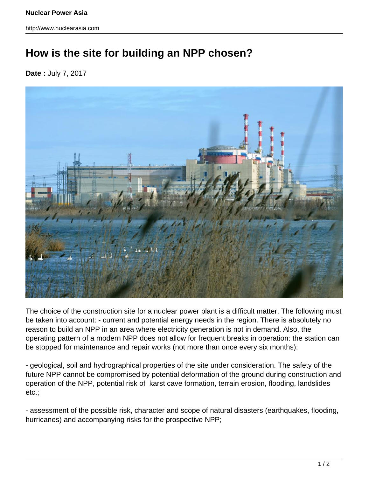http://www.nuclearasia.com

## **How is the site for building an NPP chosen?**

**Date :** July 7, 2017



The choice of the construction site for a nuclear power plant is a difficult matter. The following must be taken into account: - current and potential energy needs in the region. There is absolutely no reason to build an NPP in an area where electricity generation is not in demand. Also, the operating pattern of a modern NPP does not allow for frequent breaks in operation: the station can be stopped for maintenance and repair works (not more than once every six months):

- geological, soil and hydrographical properties of the site under consideration. The safety of the future NPP cannot be compromised by potential deformation of the ground during construction and operation of the NPP, potential risk of karst cave formation, terrain erosion, flooding, landslides etc.;

- assessment of the possible risk, character and scope of natural disasters (earthquakes, flooding, hurricanes) and accompanying risks for the prospective NPP;